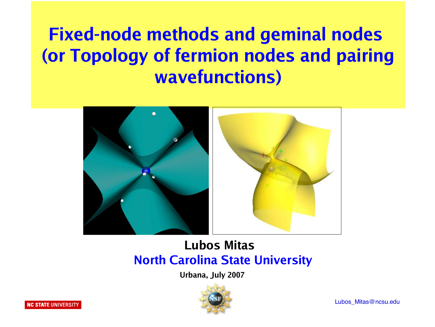# **Fixed-node methods and geminal nodes (or Topology of fermion nodes and pairing wavefunctions)**



#### **Lubos Mitas North Carolina State University**

 **Urbana, July 2007**

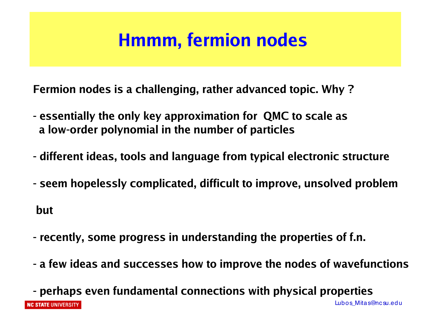## **Hmmm, fermion nodes**

**Fermion nodes is a challenging, rather advanced topic. Why ?**

- **essentially the only key approximation for QMC to scale as a low-order polynomial in the number of particles**
- **different ideas, tools and language from typical electronic structure**
- **seem hopelessly complicated, difficult to improve, unsolved problem**

**but**

- **recently, some progress in understanding the properties of f.n.**
- **a few ideas and successes how to improve the nodes of wavefunctions**

**- perhaps even fundamental connections with physical properties** Lubos Mitas@nc su.edu **NC STATE UNIVERSITY**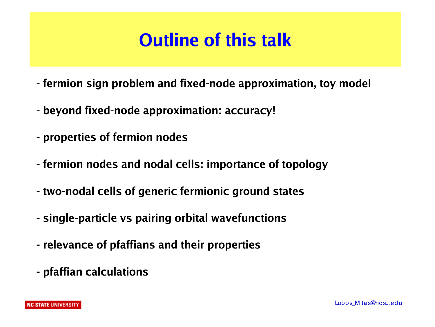# **Outline of this talk**

- **fermion sign problem and fixed-node approximation, toy model**
- **beyond fixed-node approximation: accuracy!**
- **properties of fermion nodes**
- **fermion nodes and nodal cells: importance of topology**
- **two-nodal cells of generic fermionic ground states**
- **single-particle vs pairing orbital wavefunctions**
- **relevance of pfaffians and their properties**
- **pfaffian calculations**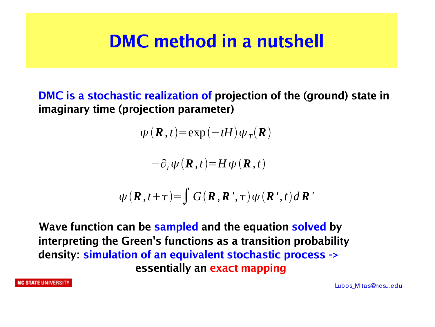## **DMC method in a nutshell**

**DMC is a stochastic realization of projection of the (ground) state in imaginary time (projection parameter)**

 $\psi$  (**R**, *t*)=exp(-*tH*) $\psi_T$ (**R**)

 $-\partial_t \psi(\mathbf{R},t) = H \psi(\mathbf{R},t)$ 

$$
\psi(\boldsymbol{R},t+\tau) = \int G(\boldsymbol{R},\boldsymbol{R}^{\prime},\tau)\psi(\boldsymbol{R}^{\prime},t)d\boldsymbol{R}^{\prime}
$$

**Wave function can be sampled and the equation solved by interpreting the Green's functions as a transition probability density: simulation of an equivalent stochastic process -> essentially an exact mapping**

NC STATE UNIVERSITY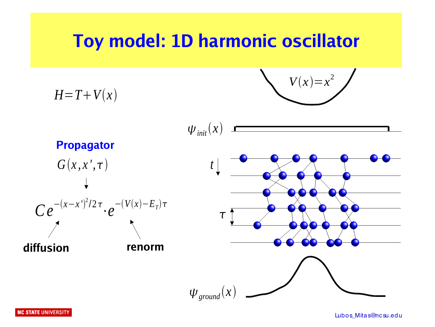## **Toy model: 1D harmonic oscillator**

$$
V(x)=x^2
$$



**NC STATE UNIVERSITY**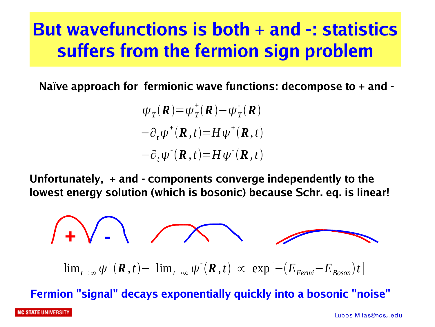## **But wavefunctions is both + and -: statistics suffers from the fermion sign problem**

**Naïve approach for fermionic wave functions: decompose to + and -**

 $\psi_T$ **(***R*) =  $\psi_T^+$ **(***R***) –**  $\psi_T^-$ **<b>(***R*)  $-\partial_t \psi^+({\bf R},t) = H \psi^+({\bf R},t)$  $-\partial_t \psi^{-1}(\mathbf{R}, t) = H \psi^{-1}(\mathbf{R}, t)$ 

**Unfortunately, + and - components converge independently to the lowest energy solution (which is bosonic) because Schr. eq. is linear!**

$$
\int \prod_{t \to \infty} \sqrt{e^{-t} \left( \mathbf{R}, t \right) - \lim_{t \to \infty} \psi^{\dagger}(\mathbf{R}, t)} \propto \exp[-(E_{Fermi} - E_{Boson})t]
$$

**Fermion "signal" decays exponentially quickly into a bosonic "noise"**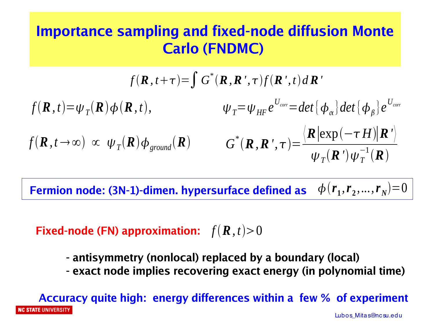## **Importance sampling and fixed-node diffusion Monte Carlo (FNDMC)**

$$
f(\mathbf{R}, t+\tau) = \int G^*(\mathbf{R}, \mathbf{R}', \tau) f(\mathbf{R}', t) d\mathbf{R}'
$$
  

$$
f(\mathbf{R}, t) = \psi_T(\mathbf{R}) \phi(\mathbf{R}, t), \qquad \psi_T = \psi_{HF} e^{U_{corr}} = det \{\phi_\alpha\} det \{\phi_\beta\} e^{U_{corr}}
$$
  

$$
f(\mathbf{R}, t \to \infty) \propto \psi_T(\mathbf{R}) \phi_{ground}(\mathbf{R}) \qquad G^*(\mathbf{R}, \mathbf{R}', \tau) = \frac{\langle \mathbf{R} |\exp(-\tau H)| \mathbf{R}' \rangle}{\psi_T(\mathbf{R}') \psi_T^{-1}(\mathbf{R})}
$$

Fermion node: (3N-1)-dimen. hypersurface defined as  $\phi\left(r_{1},r_{2},...,r_{N}\right)\text{=}0$ 

**Fixed-node (FN) approximation:**  $f(\mathbf{R}, t)$  > 0

- **antisymmetry (nonlocal) replaced by a boundary (local)**
- **exact node implies recovering exact energy (in polynomial time)**

**Accuracy quite high: energy differences within a few % of experiment IC STATE** UNIVERSITY Lubos\_Mitas@nc su.edu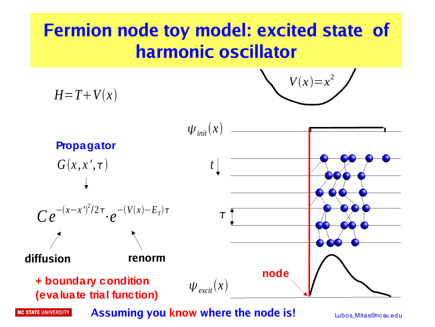## **Fermion node toy model: excited state of harmonic oscillator**

$$
V(x)=x^2
$$

 $H=T+V(x)$ 



**NC STATE UNIVERSITY** 

**Assuming you know where the node is!**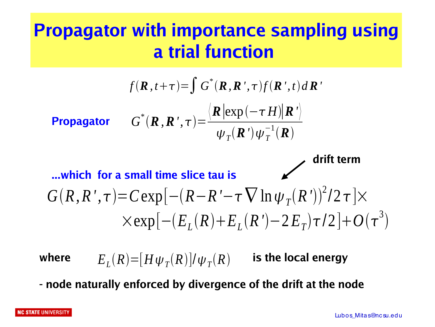## **Propagator with importance sampling using a trial function**

$$
f(\mathbf{R}, t+\tau) = \int G^*(\mathbf{R}, \mathbf{R}', \tau) f(\mathbf{R}', t) d\mathbf{R}'
$$
  
\n**Propagator**  $G^*(\mathbf{R}, \mathbf{R}', \tau) = \frac{\langle \mathbf{R} | \exp(-\tau H) | \mathbf{R}' \rangle}{\psi_T(\mathbf{R}') \psi_T^{-1}(\mathbf{R})}$   
\n**which for a small time slice tau is**  
\n $G(R, R', \tau) = C \exp[-(R - R' - \tau \nabla \ln \psi_T(R'))^2 / 2 \tau] \times \exp[-(E_L(R) + E_L(R') - 2E_T) \tau / 2] + O(\tau^3)$ 

where  $E_{L}(R) \!=\! [H \psi_{T}(R)]/\psi_{T}(R)$  is the local energy

**- node naturally enforced by divergence of the drift at the node**

#### **NC STATE UNIVERSITY**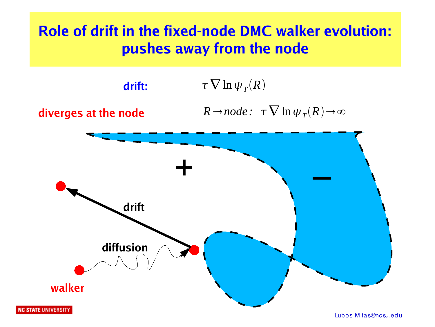## **Role of drift in the fixed-node DMC walker evolution: pushes away from the node**

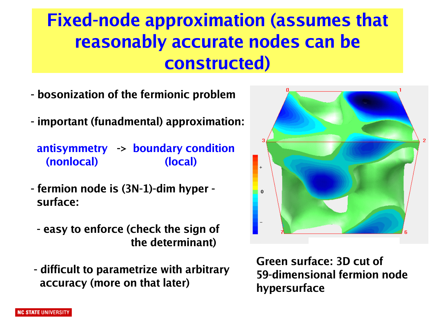## **Fixed-node approximation (assumes that reasonably accurate nodes can be constructed)**

- **bosonization of the fermionic problem**
- **important (funadmental) approximation:**

**antisymmetry -> boundary condition (nonlocal) (local)**

- **fermion node is (3N-1)-dim hyper surface:**
	- **easy to enforce (check the sign of the determinant)**
- **difficult to parametrize with arbitrary accuracy (more on that later)**

**Green surface: 3D cut of 59-dimensional fermion node hypersurface**

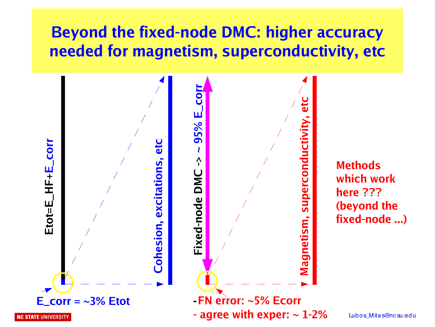## **Beyond the fixed-node DMC: higher accuracy needed for magnetism, superconductivity, etc**



**Methods which work here ??? (beyond the fixed-node ...)**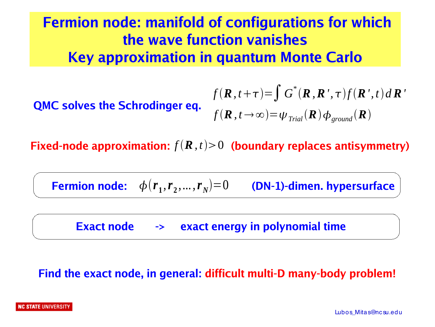## **Fermion node: manifold of configurations for which the wave function vanishes Key approximation in quantum Monte Carlo**

**QMC solves the Schrodinger eq.**  
\n
$$
f(\mathbf{R}, t + \tau) = \int G^*(\mathbf{R}, \mathbf{R}', \tau) f(\mathbf{R}', t) d\mathbf{R}'
$$
\n
$$
f(\mathbf{R}, t \to \infty) = \psi_{\text{Trial}}(\mathbf{R}) \phi_{\text{ground}}(\mathbf{R})
$$

Fixed-node approximation:  $f(\boldsymbol{R}, t)$ >0 (boundary replaces antisymmetry)

 $\phi(r_1, r_2, ..., r_N) \! = \! 0$  (DN-1)-dimen. hypersurface

 **Exact node -> exact energy in polynomial time**

#### **Find the exact node, in general: difficult multi-D many-body problem!**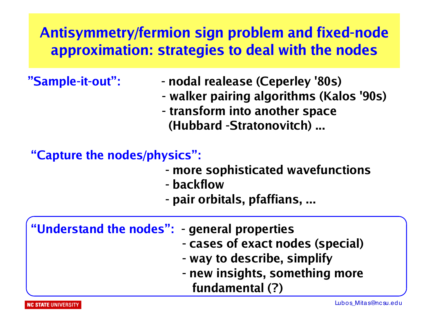## **Antisymmetry/fermion sign problem and fixed-node approximation: strategies to deal with the nodes**

- **"Sample-it-out": nodal realease (Ceperley '80s)**
	- **walker pairing algorithms (Kalos '90s)**
	- **transform into another space (Hubbard -Stratonovitch) ...**

### **"Capture the nodes/physics":**

- **more sophisticated wavefunctions**
- **backflow**
- **pair orbitals, pfaffians, ...**

| "Understand the nodes": - general properties |                                  |
|----------------------------------------------|----------------------------------|
|                                              | - cases of exact nodes (special) |
|                                              | - way to describe, simplify      |
|                                              | - new insights, something more   |
|                                              | fundamental (?)                  |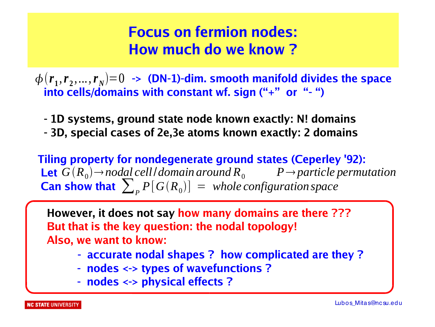## **Focus on fermion nodes: How much do we know ?**

 $\phi\left(r_{1}, r_{2},..., r_{N}\right) = 0 \ \rightarrow \ \textbf{(DN-1)-dim.}$  smooth manifold divides the space  **into cells/domains with constant wf. sign ("+" or " - ")**

- **1D systems, ground state node known exactly: N! domains**
- **3D, special cases of 2e,3e atoms known exactly: 2 domains**

 **Tiling property for nondegenerate ground states (Ceperley '92): Let**  $G(R_0) \rightarrow nodal$  *cell domain around*  $R_0$  *P*  $\rightarrow$  *particle permutation* **Can show that**  $\sum_{P} P[G(R_0)] =$  *whole configuration space* 

 **However, it does not say how many domains are there ??? But that is the key question: the nodal topology! Also, we want to know:**

- **accurate nodal shapes ? how complicated are they ?**
- **- nodes <-> types of wavefunctions ?**
- **- nodes <-> physical effects ?**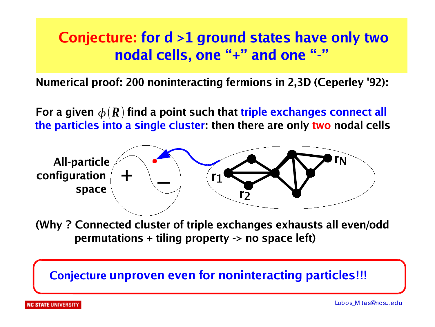## **Conjecture: for d >1 ground states have only two nodal cells, one "+" and one "-"**

 **Numerical proof: 200 noninteracting fermions in 2,3D (Ceperley '92):**

For a given  $\boldsymbol{\phi}(\boldsymbol{R})$  find a point such that triple exchanges connect all **the particles into a single cluster: then there are only two nodal cells**



 **(Why ? Connected cluster of triple exchanges exhausts all even/odd permutations + tiling property -> no space left)**

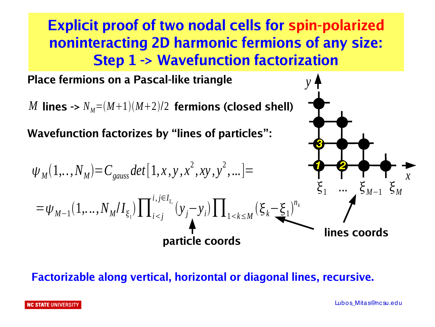**Explicit proof of two nodal cells for spin-polarized noninteracting 2D harmonic fermions of any size: Step 1 -> Wavefunction factorization**

*y*

*3*

**Place fermions on a Pascal-like triangle**

 $M$  lines ->  $N_{\scriptscriptstyle M}{=} (M{+}1)(M{+}2)/2$  fermions (closed shell)

**Wavefunction factorizes by "lines of particles":**

=*<sup>M</sup>*−<sup>1</sup> 1,...*,N<sup>M</sup>* /*I*<sup>1</sup> ∏*<sup>i</sup><sup>j</sup> i, j*∈*I* 1 *yj*−*y<sup>i</sup>* ∏<sup>1</sup>*k*≤*<sup>M</sup> k*−<sup>1</sup> *nk* 1 ... *<sup>M</sup>*−<sup>1</sup> *<sup>M</sup> <sup>M</sup>* 1,.*.,NM*=*Cgauss det*[1, *x , y , x* 2 *, xy , y* 2 *,*...]= *1 2* **lines coords** *x* **particle coords**

#### **Factorizable along vertical, horizontal or diagonal lines, recursive.**

**NC STATE UNIVERSITY**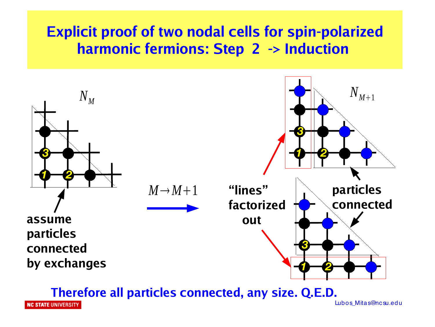### **Explicit proof of two nodal cells for spin-polarized harmonic fermions: Step 2 -> Induction**



**Therefore all particles connected, any size. Q.E.D.**

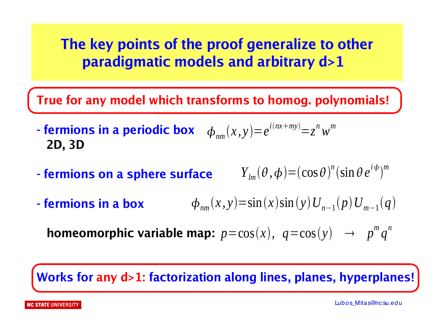## **The key points of the proof generalize to other paradigmatic models and arbitrary d>1**

**True for any model which transforms to homog. polynomials!**

- fermions in a periodic box  $\phi_{nm}(x, y) = e^{i(nx+my)} = z^n w^m$  **2D, 3D**

- **fermions on a sphere surface**   $Y_{lm}(\theta, \phi) = (\cos \theta)^n (\sin \theta e^{i\phi})^m$
- **fermions in a box**  $\phi_{nm}(x, y) = \sin(x) \sin(y) U_{n-1}(p) U_{m-1}(q)$

**homeomorphic variable map:**  $p = cos(x), q = cos(y) \rightarrow p^m q^n$ 

**Works for any d>1: factorization along lines, planes, hyperplanes!**

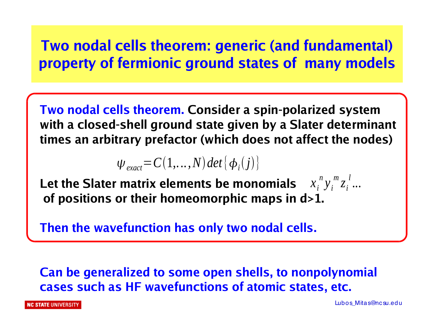## **Two nodal cells theorem: generic (and fundamental) property of fermionic ground states of many models**

**Two nodal cells theorem. Consider a spin-polarized system with a closed-shell ground state given by a Slater determinant times an arbitrary prefactor (which does not affect the nodes)**

 $\psi_{\text{exact}} = C(1, \ldots, N) \det \{ \phi_i(j) \}$ 

Let the Slater matrix elements be monomials  $x_i^{\,n} y_i^{\,m} z_i^{\,l} ...$ **of positions or their homeomorphic maps in d>1.**

**Then the wavefunction has only two nodal cells.**

**Can be generalized to some open shells, to nonpolynomial cases such as HF wavefunctions of atomic states, etc.** 

**C STATE** UNIVERSITY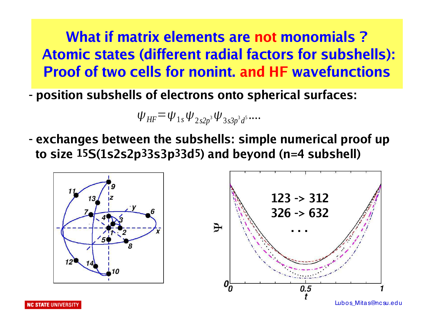## **What if matrix elements are not monomials ? Atomic states (different radial factors for subshells): Proof of two cells for nonint. and HF wavefunctions**

**- position subshells of electrons onto spherical surfaces:**

$$
\psi_{HF} = \psi_{1s} \psi_{2s2p^3} \psi_{3s3p^3d^5} \dots
$$

**- exchanges between the subshells: simple numerical proof up to size 15S(1s2s2p33s3p33d5) and beyond (n=4 subshell)**

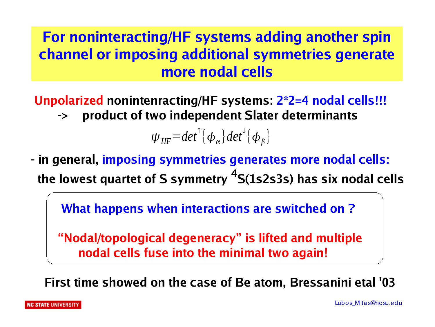## **For noninteracting/HF systems adding another spin channel or imposing additional symmetries generate more nodal cells**

**Unpolarized nonintenracting/HF systems: 2\*2=4 nodal cells!!! product of two independent Slater determinants** 

 $\psi_{HF} = det^{\uparrow} {\phi_{\alpha}} det^{\downarrow} {\phi_{\beta}}$ 

**- in general, imposing symmetries generates more nodal cells: the lowest quartet of S symmetry <sup>4</sup>S(1s2s3s) has six nodal cells** 

 **What happens when interactions are switched on ?**

 **"Nodal/topological degeneracy" is lifted and multiple nodal cells fuse into the minimal two again!**

 **First time showed on the case of Be atom, Bressanini etal '03**

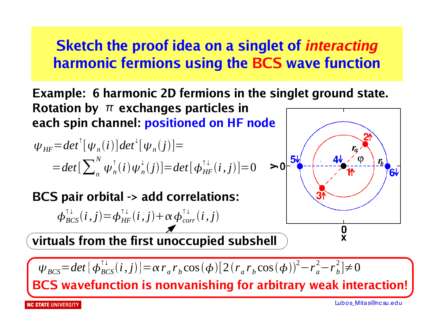## **Sketch the proof idea on a singlet of** *interacting* **harmonic fermions using the BCS wave function**

**Example: 6 harmonic 2D fermions in the singlet ground state.** Rotation by  $\pi$  exchanges particles in **each spin channel: positioned on HF node**

$$
\psi_{HF} = det^{\uparrow}[\psi_n(i)]det^{\downarrow}[\psi_n(j)] =
$$
  
= det  $\left[\sum_n^N \psi_n^{\uparrow}(i) \psi_n^{\downarrow}(j)\right] = det \left[\phi_{HF}^{\uparrow \downarrow}(i,j)\right] = 0$ 

**BCS pair orbital -> add correlations:**

$$
\phi_{BCS}^{\uparrow\downarrow}(i,j) = \phi_{HF}^{\uparrow\downarrow}(i,j) + \alpha \phi_{corr}^{\uparrow\downarrow}(i,j)
$$

**virtuals from the first unoccupied subshell**



 $\Psi_{BCS} = det\{\phi_{BCS}^{\uparrow\downarrow}(i,j)\} = \alpha r_a r_b \cos(\phi) [2(r_a r_b \cos(\phi))^2 - r_a^2 - r_b^2] \neq 0$ 

**BCS wavefunction is nonvanishing for arbitrary weak interaction!**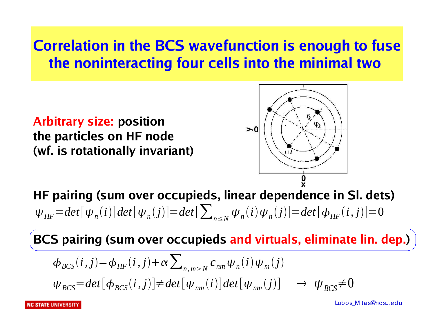## **Correlation in the BCS wavefunction is enough to fuse the noninteracting four cells into the minimal two**

**Arbitrary size: position the particles on HF node (wf. is rotationally invariant)**



**HF pairing (sum over occupieds, linear dependence in Sl. dets)**   $\Psi_{HF} = det[\Psi_n(i)]det[\Psi_n(j)] = det[\sum_{n \le N} \Psi_n(i)\Psi_n(j)] = det[\Phi_{HF}(i,j)] = 0$ 

**BCS pairing (sum over occupieds and virtuals, eliminate lin. dep.)**

$$
\begin{aligned}\n\phi_{BCS}(i,j) &= \phi_{HF}(i,j) + \alpha \sum_{n,m >N} c_{nm} \psi_n(i) \psi_m(j) \\
\psi_{BCS} &= det[\phi_{BCS}(i,j)] \neq det[\psi_{nm}(i)] \det[\psi_{nm}(j)] \rightarrow \psi_{BCS} \neq 0\n\end{aligned}
$$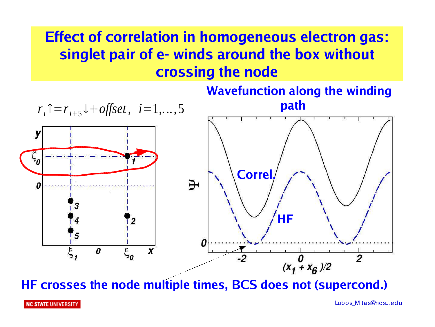## **Effect of correlation in homogeneous electron gas: singlet pair of e- winds around the box without crossing the node**



**HF crosses the node multiple times, BCS does not (supercond.)**

**NC STATE UNIVERSITY**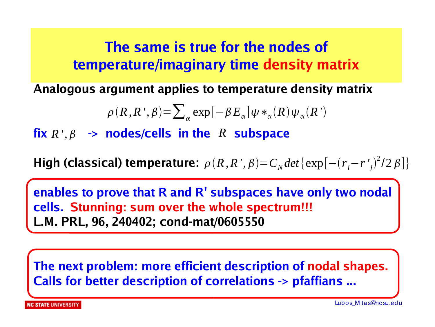## **The same is true for the nodes of temperature/imaginary time density matrix**

**Analogous argument applies to temperature density matrix**

$$
\rho(R, R', \beta) = \sum_{\alpha} \exp[-\beta E_{\alpha}] \psi *_{\alpha}(R) \psi_{\alpha}(R')
$$

 $f$ *ix*  $R$ <sup>*'*</sup>,  $\beta$   $\rightarrow$  **nodes/cells in the**  $R$  **subspace** 

**High (classical) temperature:**  $\rho(R,R',\beta)=C_N det \{ \exp[-(r_i-r'_j)^2/2\beta] \}$ 

**enables to prove that R and R' subspaces have only two nodal cells. Stunning: sum over the whole spectrum!!! L.M. PRL, 96, 240402; cond-mat/0605550**

**The next problem: more efficient description of nodal shapes. Calls for better description of correlations -> pfaffians ...**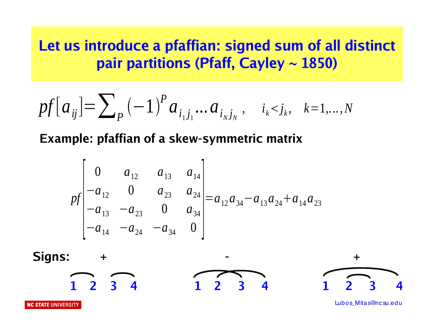### **Let us introduce a pfaffian: signed sum of all distinct pair partitions (Pfaff, Cayley ~ 1850)**

$$
pf[a_{ij}] = \sum_{p} (-1)^{p} a_{i_{1}j_{1}}...a_{i_{N}j_{N}}, \quad i_{k} < j_{k}, \quad k = 1,...,N
$$

#### **Example: pfaffian of a skew-symmetric matrix**

$$
pf\begin{bmatrix} 0 & a_{12} & a_{13} & a_{14} \ -a_{12} & 0 & a_{23} & a_{24} \ -a_{13} & -a_{23} & 0 & a_{34} \ -a_{14} & -a_{24} & -a_{34} & 0 \end{bmatrix} = a_{12}a_{34} - a_{13}a_{24} + a_{14}a_{23}
$$

Signs: 
$$
+
$$
  
\n $1\ 2\ 3\ 4$   
\n $1\ 2\ 3\ 4$   
\n $1\ 2\ 3\ 4$   
\n $1\ 2\ 3\ 4$ 

**NC STATE UNIVERSITY**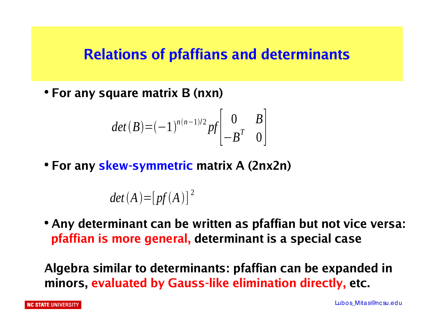### **Relations of pfaffians and determinants**

● **For any square matrix B (nxn)**

$$
det(B) = (-1)^{n(n-1)/2} pf \begin{bmatrix} 0 & B \\ -B^T & 0 \end{bmatrix}
$$

● **For any skew-symmetric matrix A (2nx2n)** 

 $det(A) = [pf(A)]^{2}$ 

● **Any determinant can be written as pfaffian but not vice versa: pfaffian is more general, determinant is a special case**

**Algebra similar to determinants: pfaffian can be expanded in minors, evaluated by Gauss-like elimination directly, etc.**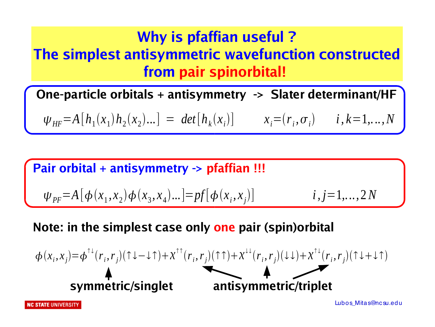## **Why is pfaffian useful ? The simplest antisymmetric wavefunction constructed from pair spinorbital!**

**One-particle orbitals + antisymmetry -> Slater determinant/HF**

 $\psi_{HF} = A[h_1(x_1)h_2(x_2)...] = det[h_k(x_i)]$   $x_i = (r_i, \sigma_i)$   $i, k = 1,...,N$ 

**Pair orbital + antisymmetry -> pfaffian !!!**

 $\Psi_{PF} = A[\phi(x_1, x_2) \phi(x_3, x_4) \dots] = pf[\phi(x_i, x_j)]$  $i, j=1,...,2N$ 

**Note: in the simplest case only one pair (spin)orbital**

$$
\phi(x_i, x_j) = \phi^{\uparrow \downarrow}(r_i, r_j)(\uparrow \downarrow - \downarrow \uparrow) + \chi^{\uparrow \uparrow}(r_i, r_j)(\uparrow \uparrow) + \chi^{\downarrow \downarrow}(r_i, r_j)(\downarrow \downarrow) + \chi^{\uparrow \downarrow}(r_i, r_j)(\uparrow \downarrow + \downarrow \uparrow)
$$
\n
$$
\bullet
$$
\nsymmetric/singlet\nantisymmetric/triplet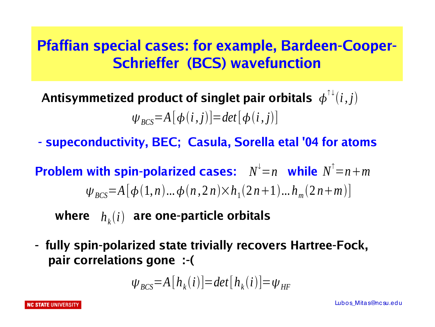## **Pfaffian special cases: for example, Bardeen-Cooper-Schrieffer (BCS) wavefunction**

Antisymmetized product of singlet pair orbitals  $\phi^{\uparrow\downarrow}(i,j)$  $\Psi_{BCS} = A[\phi(i,j)] = det[\phi(i,j)]$ 

**- supeconductivity, BEC; Casula, Sorella etal '04 for atoms**

**Problem with spin-polarized cases:**  $N^{\downarrow} = n$  while  $N^{\uparrow} = n + m$  $\Psi_{BCS} = A[\phi(1,n)...\phi(n,2n)\times h_1(2n+1)...h_m(2n+m)]$ 

where  $h_k(i)$  are one-particle orbitals

**- fully spin-polarized state trivially recovers Hartree-Fock, pair correlations gone :-(**

$$
\psi_{BCS} = A[h_k(i)] = det[h_k(i)] = \psi_{HF}
$$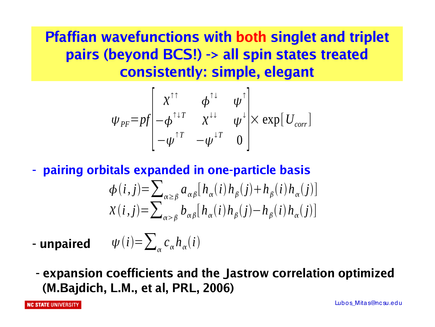**Pfaffian wavefunctions with both singlet and triplet pairs (beyond BCS!) -> all spin states treated consistently: simple, elegant**

$$
\psi_{PF} = pf \begin{bmatrix} \chi^{\uparrow\uparrow} & \phi^{\uparrow\downarrow} & \psi^{\uparrow} \\ -\phi^{\uparrow\downarrow\tau} & \chi^{\downarrow\downarrow} & \psi^{\downarrow} \\ -\psi^{\uparrow\tau} & -\psi^{\downarrow\tau} & 0 \end{bmatrix} \times \exp[U_{corr}]
$$

**- pairing orbitals expanded in one-particle basis** 

$$
\phi(i,j) = \sum_{\alpha \ge \beta} a_{\alpha\beta} [h_{\alpha}(i) h_{\beta}(j) + h_{\beta}(i) h_{\alpha}(j)]
$$
  

$$
\chi(i,j) = \sum_{\alpha > \beta} b_{\alpha\beta} [h_{\alpha}(i) h_{\beta}(j) - h_{\beta}(i) h_{\alpha}(j)]
$$

**- unpaired**   $\psi(i) = \sum_{\alpha} c_{\alpha} h_{\alpha}(i)$ 

**- expansion coefficients and the Jastrow correlation optimized (M.Bajdich, L.M., et al, PRL, 2006)**

**NC STATE UNIVERSITY**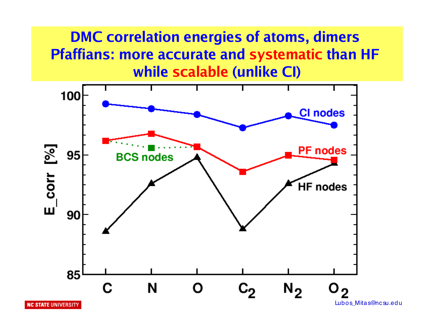## **DMC correlation energies of atoms, dimers Pfaffians: more accurate and systematic than HF while scalable (unlike CI)**



**NC STATE UNIVERSITY**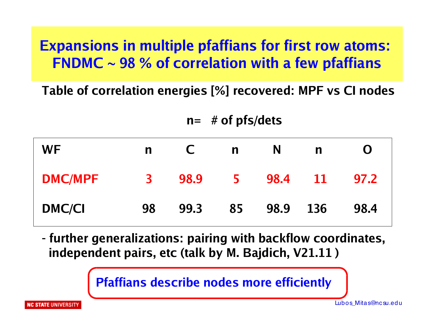## **Expansions in multiple pfaffians for first row atoms: FNDMC ~ 98 % of correlation with a few pfaffians**

**Table of correlation energies [%] recovered: MPF vs CI nodes**

 **n= # of pfs/dets**

| <b>WF</b>      | $\mathsf{n}$ | <b>C</b> | n  | N    | $\mathsf{n}$ | O    |
|----------------|--------------|----------|----|------|--------------|------|
| <b>DMC/MPF</b> | 3            | 98.9     | 5. | 98.4 | <b>11</b>    | 97.2 |
| <b>DMC/CI</b>  | 98           | 99.3     | 85 | 98.9 | 136          | 98.4 |

**- further generalizations: pairing with backflow coordinates, independent pairs, etc (talk by M. Bajdich, V21.11 )**

 **Pfaffians describe nodes more efficiently**

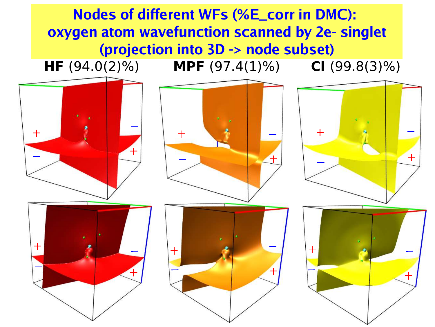**Nodes of different WFs (%E\_corr in DMC): oxygen atom wavefunction scanned by 2e- singlet (projection into 3D -> node subset)**

**HF** (94.0(2)%) **MPF** (97.4(1)%) **CI** (99.8(3)%)



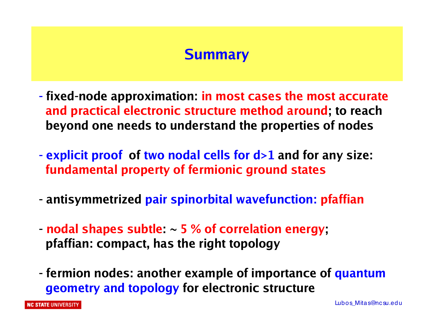### **Summary**

- **fixed-node approximation: in most cases the most accurate and practical electronic structure method around; to reach beyond one needs to understand the properties of nodes**
- **explicit proof of two nodal cells for d>1 and for any size: fundamental property of fermionic ground states**
- **antisymmetrized pair spinorbital wavefunction: pfaffian**
- **nodal shapes subtle: ~ 5 % of correlation energy; pfaffian: compact, has the right topology**
- **fermion nodes: another example of importance of quantum geometry and topology for electronic structure**

**NC STATE UNIVERSITY**